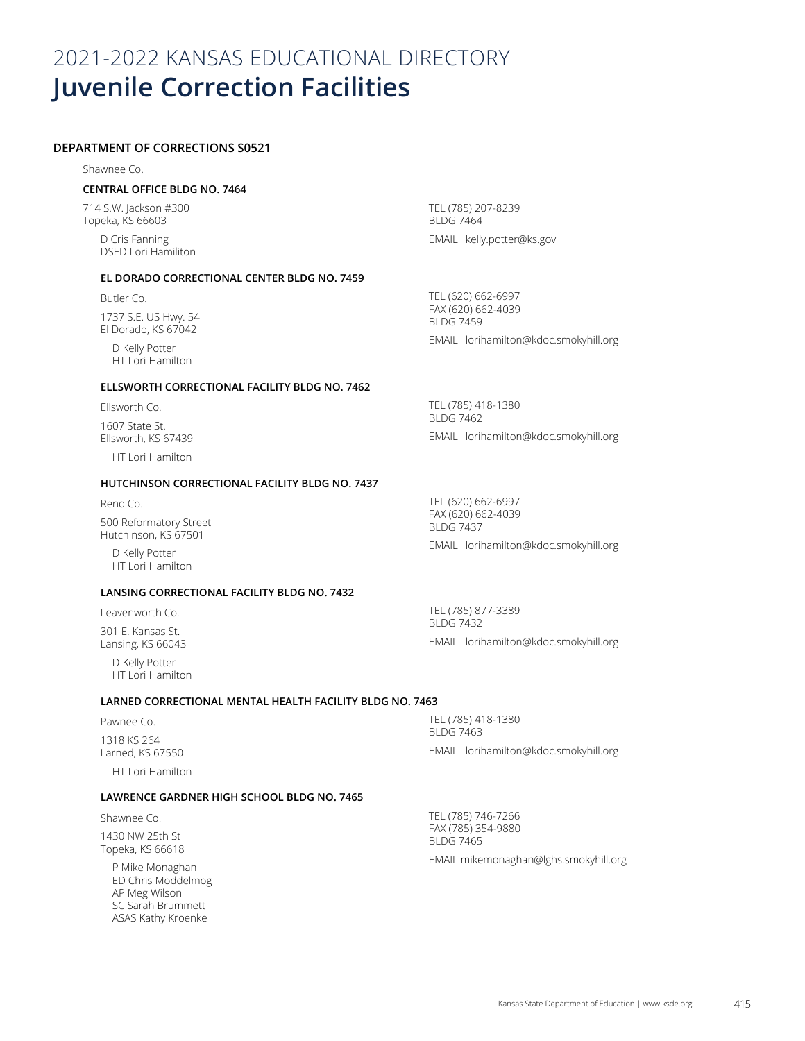# 2021-2022 KANSAS EDUCATIONAL DIRECTORY **Juvenile Correction Facilities**

# **DEPARTMENT OF CORRECTIONS S0521**

Shawnee Co.

## **CENTRAL OFFICE BLDG NO. 7464**

714 S.W. Jackson #300 Topeka, KS 66603

> D Cris Fanning DSED Lori Hamiliton

#### **EL DORADO CORRECTIONAL CENTER BLDG NO. 7459**

Butler Co. 1737 S.E. US Hwy. 54 El Dorado, KS 67042

> D Kelly Potter HT Lori Hamilton

## **ELLSWORTH CORRECTIONAL FACILITY BLDG NO. 7462**

Ellsworth Co. 1607 State St. Ellsworth, KS 67439

HT Lori Hamilton

## **HUTCHINSON CORRECTIONAL FACILITY BLDG NO. 7437**

Reno Co. 500 Reformatory Street Hutchinson, KS 67501

> D Kelly Potter HT Lori Hamilton

# **LANSING CORRECTIONAL FACILITY BLDG NO. 7432**

Leavenworth Co. 301 E. Kansas St. Lansing, KS 66043

> D Kelly Potter HT Lori Hamilton

## **LARNED CORRECTIONAL MENTAL HEALTH FACILITY BLDG NO. 7463**

Pawnee Co. 1318 KS 264 Larned, KS 67550 HT Lori Hamilton

#### **LAWRENCE GARDNER HIGH SCHOOL BLDG NO. 7465**

Shawnee Co.

1430 NW 25th St Topeka, KS 66618

> P Mike Monaghan ED Chris Moddelmog AP Meg Wilson SC Sarah Brummett ASAS Kathy Kroenke

TEL (785) 207-8239 BLDG 7464 EMAIL kelly.potter@ks.gov

TEL (620) 662-6997 FAX (620) 662-4039 BLDG 7459

EMAIL lorihamilton@kdoc.smokyhill.org

TEL (785) 418-1380 BLDG 7462 EMAIL lorihamilton@kdoc.smokyhill.org

TEL (620) 662-6997 FAX (620) 662-4039 BLDG 7437 EMAIL lorihamilton@kdoc.smokyhill.org

TEL (785) 877-3389 BLDG 7432 EMAIL lorihamilton@kdoc.smokyhill.org

TEL (785) 418-1380 BLDG 7463 EMAIL lorihamilton@kdoc.smokyhill.org

TEL (785) 746-7266 FAX (785) 354-9880 BLDG 7465

EMAIL mikemonaghan@lghs.smokyhill.org